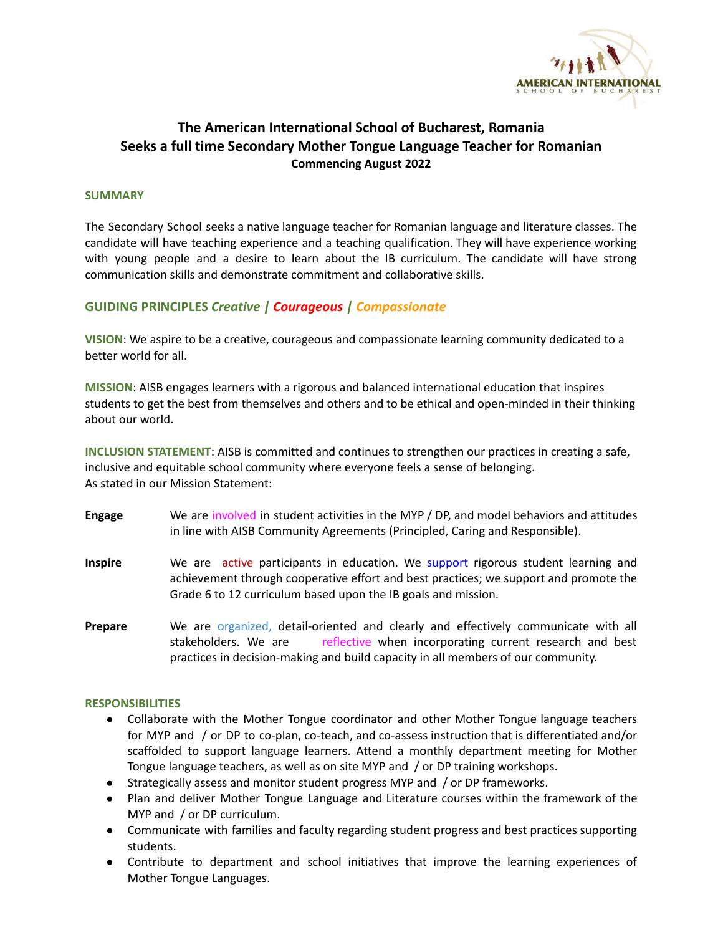

# **The American International School of Bucharest, Romania Seeks a full time Secondary Mother Tongue Language Teacher for Romanian Commencing August 2022**

### **SUMMARY**

The Secondary School seeks a native language teacher for Romanian language and literature classes. The candidate will have teaching experience and a teaching qualification. They will have experience working with young people and a desire to learn about the IB curriculum. The candidate will have strong communication skills and demonstrate commitment and collaborative skills.

# **GUIDING PRINCIPLES** *Creative | Courageous | Compassionate*

**VISION**: We aspire to be a creative, courageous and compassionate learning community dedicated to a better world for all.

**MISSION**: AISB engages learners with a rigorous and balanced international education that inspires students to get the best from themselves and others and to be ethical and open-minded in their thinking about our world.

**INCLUSION STATEMENT**: AISB is committed and continues to strengthen our practices in creating a safe, inclusive and equitable school community where everyone feels a sense of belonging. As stated in our Mission Statement:

- **Engage** We are involved in student activities in the MYP / DP, and model behaviors and attitudes in line with AISB Community Agreements (Principled, Caring and Responsible).
- **Inspire** We are active participants in education. We support rigorous student learning and achievement through cooperative effort and best practices; we support and promote the Grade 6 to 12 curriculum based upon the IB goals and mission.
- **Prepare** We are organized, detail-oriented and clearly and effectively communicate with all stakeholders. We are **reflective when incorporating current research and best** practices in decision-making and build capacity in all members of our community.

#### **RESPONSIBILITIES**

- Collaborate with the Mother Tongue coordinator and other Mother Tongue language teachers for MYP and / or DP to co-plan, co-teach, and co-assess instruction that is differentiated and/or scaffolded to support language learners. Attend a monthly department meeting for Mother Tongue language teachers, as well as on site MYP and / or DP training workshops.
- Strategically assess and monitor student progress MYP and / or DP frameworks.
- Plan and deliver Mother Tongue Language and Literature courses within the framework of the MYP and / or DP curriculum.
- Communicate with families and faculty regarding student progress and best practices supporting students.
- Contribute to department and school initiatives that improve the learning experiences of Mother Tongue Languages.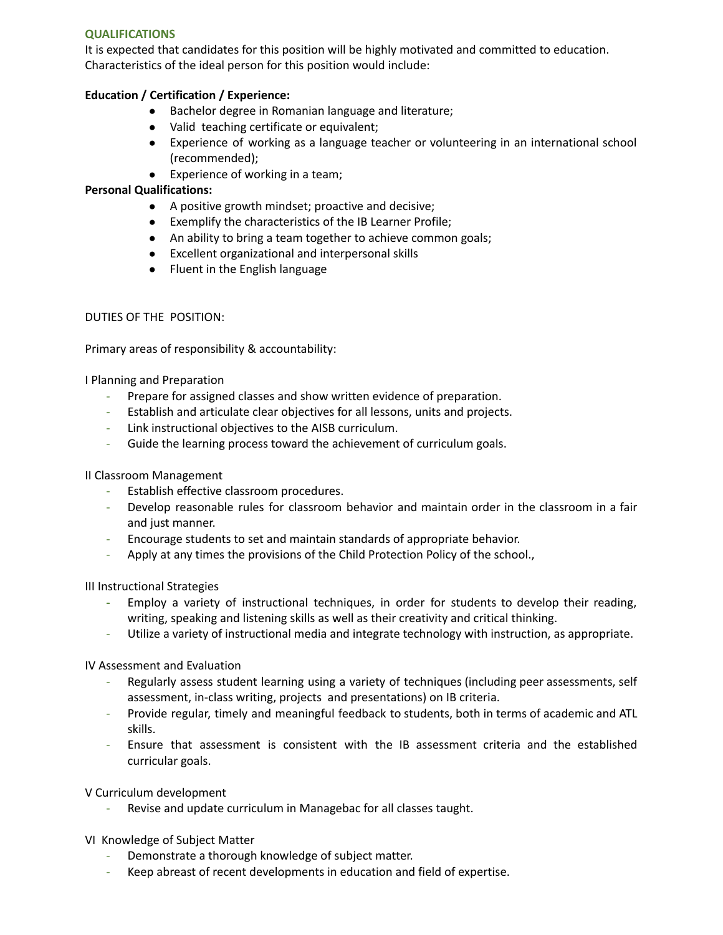## **QUALIFICATIONS**

It is expected that candidates for this position will be highly motivated and committed to education. Characteristics of the ideal person for this position would include:

## **Education / Certification / Experience:**

- Bachelor degree in Romanian language and literature;
- Valid teaching certificate or equivalent;
- Experience of working as a language teacher or volunteering in an international school (recommended);
- Experience of working in a team;

### **Personal Qualifications:**

- A positive growth mindset; proactive and decisive;
- Exemplify the characteristics of the IB Learner Profile;
- An ability to bring a team together to achieve common goals;
- Excellent organizational and interpersonal skills
- Fluent in the English language

#### DUTIES OF THE POSITION:

Primary areas of responsibility & accountability:

I Planning and Preparation

- Prepare for assigned classes and show written evidence of preparation.
- Establish and articulate clear objectives for all lessons, units and projects.
- Link instructional objectives to the AISB curriculum.
- Guide the learning process toward the achievement of curriculum goals.

#### II Classroom Management

- Establish effective classroom procedures.
- Develop reasonable rules for classroom behavior and maintain order in the classroom in a fair and just manner.
- Encourage students to set and maintain standards of appropriate behavior.
- Apply at any times the provisions of the Child Protection Policy of the school.,

III Instructional Strategies

- **-** Employ a variety of instructional techniques, in order for students to develop their reading, writing, speaking and listening skills as well as their creativity and critical thinking.
- Utilize a variety of instructional media and integrate technology with instruction, as appropriate.

IV Assessment and Evaluation

- Regularly assess student learning using a variety of techniques (including peer assessments, self assessment, in-class writing, projects and presentations) on IB criteria.
- Provide regular, timely and meaningful feedback to students, both in terms of academic and ATL skills.
- Ensure that assessment is consistent with the IB assessment criteria and the established curricular goals.

V Curriculum development

Revise and update curriculum in Managebac for all classes taught.

VI Knowledge of Subject Matter

- Demonstrate a thorough knowledge of subject matter.
- Keep abreast of recent developments in education and field of expertise.